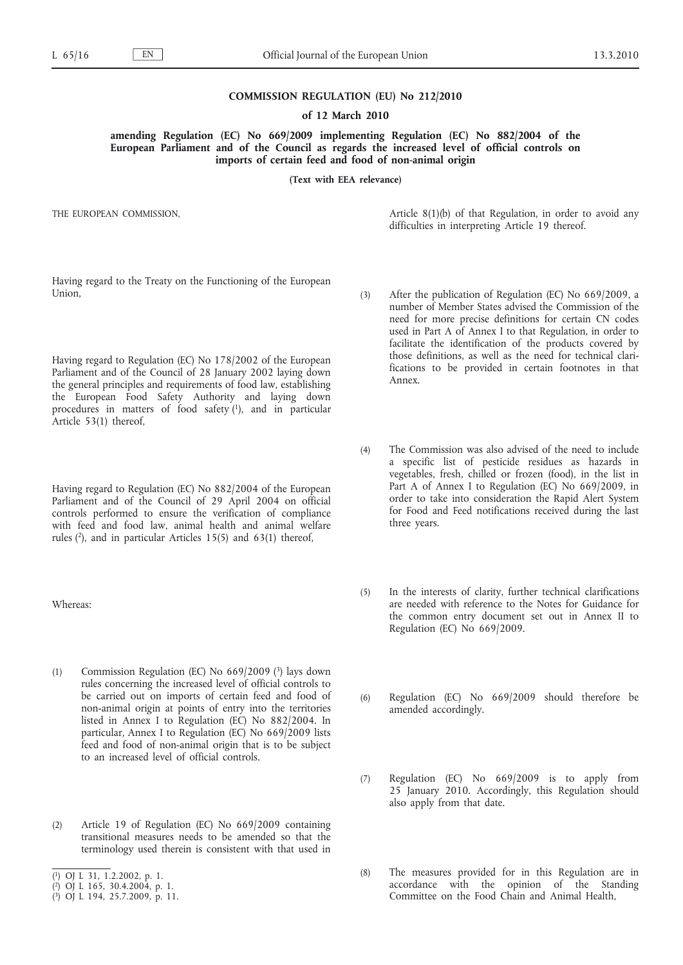## **COMMISSION REGULATION (EU) No 212/2010**

### **of 12 March 2010**

**amending Regulation (EC) No 669/2009 implementing Regulation (EC) No 882/2004 of the European Parliament and of the Council as regards the increased level of official controls on imports of certain feed and food of non-animal origin**

**(Text with EEA relevance)**

THE EUROPEAN COMMISSION,

Article 8(1)(b) of that Regulation, in order to avoid any difficulties in interpreting Article 19 thereof.

Having regard to the Treaty on the Functioning of the European Union,

Having regard to Regulation (EC) No 178/2002 of the European Parliament and of the Council of 28 January 2002 laying down the general principles and requirements of food law, establishing the European Food Safety Authority and laying down procedures in matters of food safety (1), and in particular Article 53(1) thereof,

Having regard to Regulation (EC) No 882/2004 of the European Parliament and of the Council of 29 April 2004 on official controls performed to ensure the verification of compliance with feed and food law, animal health and animal welfare rules (2), and in particular Articles 15(5) and 63(1) thereof,

Whereas:

- (1) Commission Regulation (EC) No  $669/2009$  (3) lays down rules concerning the increased level of official controls to be carried out on imports of certain feed and food of non-animal origin at points of entry into the territories listed in Annex I to Regulation (EC) No 882/2004. In particular, Annex I to Regulation (EC) No 669/2009 lists feed and food of non-animal origin that is to be subject to an increased level of official controls.
- (2) Article 19 of Regulation (EC) No 669/2009 containing transitional measures needs to be amended so that the terminology used therein is consistent with that used in
- ( 1) OJ L 31, 1.2.2002, p. 1.
- ( 2) OJ L 165, 30.4.2004, p. 1.
- ( 3) OJ L 194, 25.7.2009, p. 11.
- (3) After the publication of Regulation (EC) No 669/2009, a number of Member States advised the Commission of the need for more precise definitions for certain CN codes used in Part A of Annex I to that Regulation, in order to facilitate the identification of the products covered by those definitions, as well as the need for technical clarifications to be provided in certain footnotes in that Annex.
- (4) The Commission was also advised of the need to include a specific list of pesticide residues as hazards in vegetables, fresh, chilled or frozen (food), in the list in Part A of Annex I to Regulation (EC) No 669/2009, in order to take into consideration the Rapid Alert System for Food and Feed notifications received during the last three years.
- (5) In the interests of clarity, further technical clarifications are needed with reference to the Notes for Guidance for the common entry document set out in Annex II to Regulation (EC) No 669/2009.
- (6) Regulation (EC) No 669/2009 should therefore be amended accordingly.
- (7) Regulation (EC) No 669/2009 is to apply from 25 January 2010. Accordingly, this Regulation should also apply from that date.
- (8) The measures provided for in this Regulation are in accordance with the opinion of the Standing Committee on the Food Chain and Animal Health,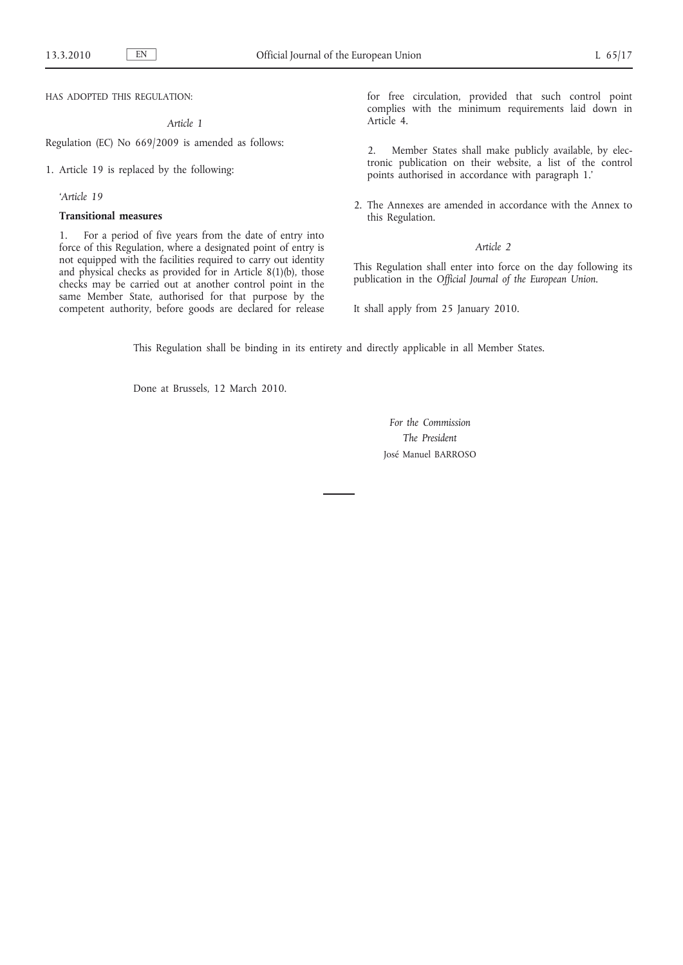HAS ADOPTED THIS REGULATION:

*Article 1*

Regulation (EC) No 669/2009 is amended as follows:

1. Article 19 is replaced by the following:

*'Article 19*

## **Transitional measures**

1. For a period of five years from the date of entry into force of this Regulation, where a designated point of entry is not equipped with the facilities required to carry out identity and physical checks as provided for in Article 8(1)(b), those checks may be carried out at another control point in the same Member State, authorised for that purpose by the competent authority, before goods are declared for release for free circulation, provided that such control point complies with the minimum requirements laid down in Article 4.

2. Member States shall make publicly available, by electronic publication on their website, a list of the control points authorised in accordance with paragraph 1.'

2. The Annexes are amended in accordance with the Annex to this Regulation.

# *Article 2*

This Regulation shall enter into force on the day following its publication in the *Official Journal of the European Union*.

It shall apply from 25 January 2010.

This Regulation shall be binding in its entirety and directly applicable in all Member States.

Done at Brussels, 12 March 2010.

*For the Commission The President* José Manuel BARROSO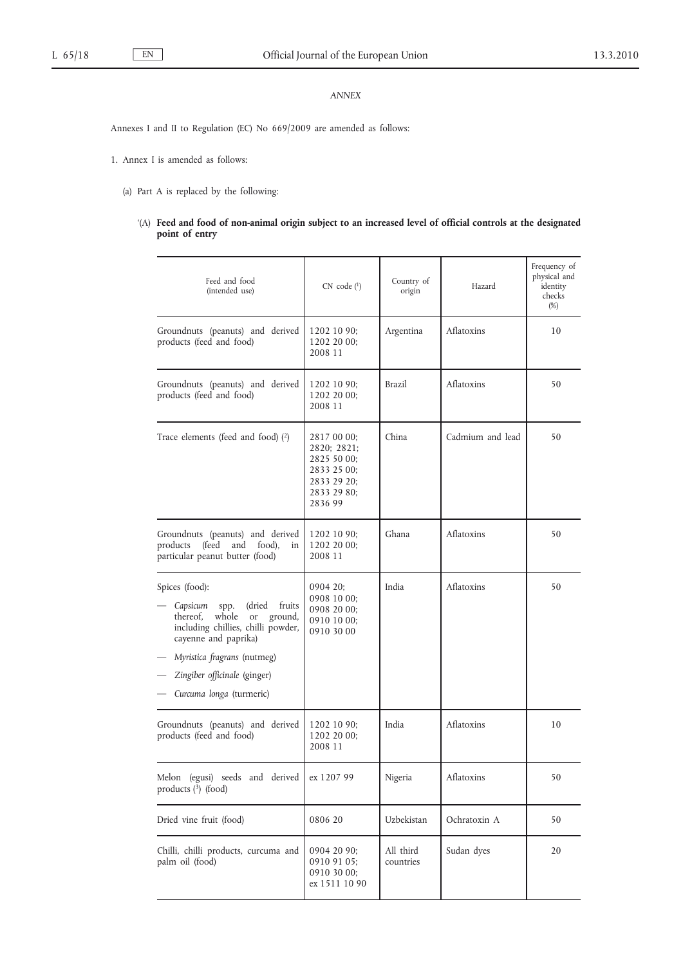# *ANNEX*

Annexes I and II to Regulation (EC) No 669/2009 are amended as follows:

1. Annex I is amended as follows:

- (a) Part A is replaced by the following:
	- '(A) **Feed and food of non-animal origin subject to an increased level of official controls at the designated point of entry**

| Feed and food<br>(intended use)                                                                                                                                                                                                                     | CN code (1)                                                                                       | Country of<br>origin   | Hazard           | Frequency of<br>physical and<br>identity<br>checks<br>(%) |
|-----------------------------------------------------------------------------------------------------------------------------------------------------------------------------------------------------------------------------------------------------|---------------------------------------------------------------------------------------------------|------------------------|------------------|-----------------------------------------------------------|
| Groundnuts (peanuts) and derived<br>products (feed and food)                                                                                                                                                                                        | 1202 10 90;<br>1202 20 00;<br>2008 11                                                             | Argentina              | Aflatoxins       | 10                                                        |
| Groundnuts (peanuts) and derived<br>products (feed and food)                                                                                                                                                                                        | 1202 10 90;<br>1202 20 00;<br>2008 11                                                             | <b>Brazil</b>          | Aflatoxins       | 50                                                        |
| Trace elements (feed and food) $(2)$                                                                                                                                                                                                                | 2817 00 00;<br>2820; 2821;<br>2825 50 00;<br>2833 25 00;<br>2833 29 20;<br>2833 29 80;<br>2836 99 | China                  | Cadmium and lead | 50                                                        |
| Groundnuts (peanuts) and derived<br>products<br>(feed<br>food),<br>and<br>in<br>particular peanut butter (food)                                                                                                                                     | 1202 10 90;<br>1202 20 00;<br>2008 11                                                             | Ghana                  | Aflatoxins       | 50                                                        |
| Spices (food):<br>(dried fruits)<br>Capsicum<br>spp.<br>thereof,<br>whole<br>ground,<br>or<br>including chillies, chilli powder,<br>cayenne and paprika)<br>Myristica fragrans (nutmeg)<br>Zingiber officinale (ginger)<br>Curcuma longa (turmeric) | 0904 20:<br>0908 10 00;<br>0908 20 00;<br>0910 10 00;<br>0910 30 00                               | India                  | Aflatoxins       | 50                                                        |
| Groundnuts (peanuts) and derived<br>products (feed and food)                                                                                                                                                                                        | 1202 10 90;<br>1202 20 00;<br>2008 11                                                             | India                  | Aflatoxins       | 10                                                        |
| Melon (egusi) seeds and derived<br>products (3) (food)                                                                                                                                                                                              | ex 1207 99                                                                                        | Nigeria                | Aflatoxins       | 50                                                        |
| Dried vine fruit (food)                                                                                                                                                                                                                             | 0806 20                                                                                           | Uzbekistan             | Ochratoxin A     | 50                                                        |
| Chilli, chilli products, curcuma and<br>palm oil (food)                                                                                                                                                                                             | 0904 20 90;<br>0910 91 05;<br>0910 30 00;<br>ex 1511 10 90                                        | All third<br>countries | Sudan dyes       | 20                                                        |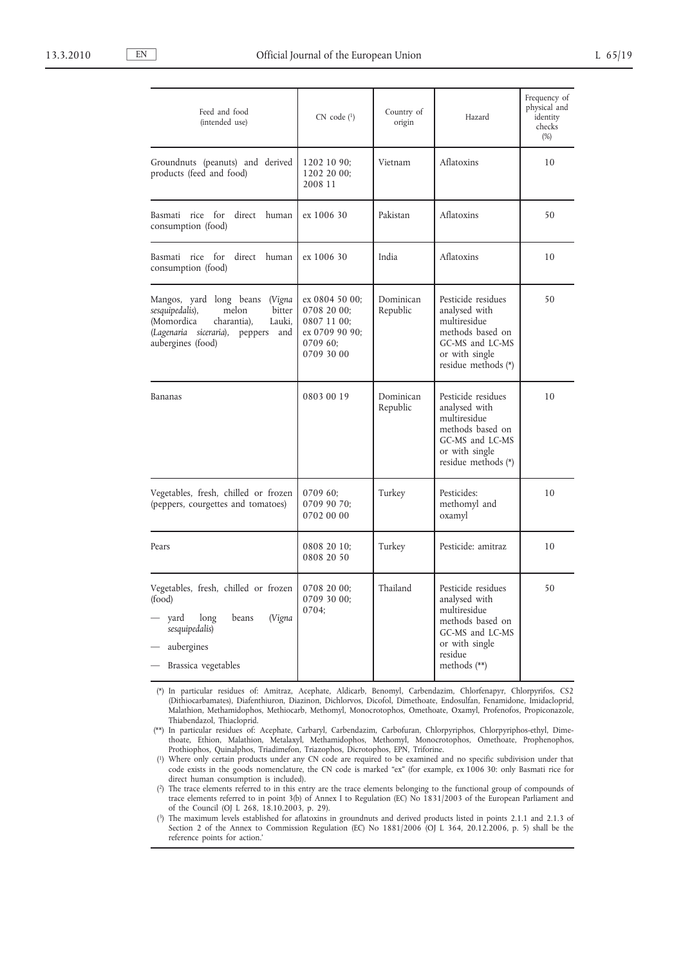| Feed and food<br>(intended use)                                                                                                                                             | $CN$ code $(^1)$                                                                         | Country of<br>origin  | Hazard                                                                                                                                    | Frequency of<br>physical and<br>identity<br>checks<br>(%) |
|-----------------------------------------------------------------------------------------------------------------------------------------------------------------------------|------------------------------------------------------------------------------------------|-----------------------|-------------------------------------------------------------------------------------------------------------------------------------------|-----------------------------------------------------------|
| Groundnuts (peanuts) and derived<br>products (feed and food)                                                                                                                | 1202 10 90;<br>1202 20 00;<br>2008 11                                                    | Vietnam               | Aflatoxins                                                                                                                                | 10                                                        |
| Basmati rice for<br>direct human<br>consumption (food)                                                                                                                      | ex 1006 30                                                                               | Pakistan              | Aflatoxins                                                                                                                                | 50                                                        |
| for<br>direct human<br>Basmati<br>rice<br>consumption (food)                                                                                                                | ex 1006 30                                                                               | India                 | Aflatoxins                                                                                                                                | 10                                                        |
| Mangos, yard long beans (Vigna  <br>sesquipedalis),<br>melon<br>bitter<br>(Momordica<br>charantia),<br>Lauki,<br>(Lagenaria siceraria),<br>peppers and<br>aubergines (food) | ex 0804 50 00;<br>0708 20 00;<br>0807 11 00;<br>ex 0709 90 90;<br>0709 60;<br>0709 30 00 | Dominican<br>Republic | Pesticide residues<br>analysed with<br>multiresidue<br>methods based on<br>GC-MS and LC-MS<br>or with single<br>residue methods (*)       | 50                                                        |
| Bananas                                                                                                                                                                     | 0803 00 19                                                                               | Dominican<br>Republic | Pesticide residues<br>analysed with<br>multiresidue<br>methods based on<br>GC-MS and LC-MS<br>or with single<br>residue methods (*)       | 10                                                        |
| Vegetables, fresh, chilled or frozen<br>(peppers, courgettes and tomatoes)                                                                                                  | 0709 60;<br>0709 90 70;<br>0702 00 00                                                    | Turkey                | Pesticides:<br>methomyl and<br>oxamyl                                                                                                     | 10                                                        |
| Pears                                                                                                                                                                       | 0808 20 10;<br>0808 20 50                                                                | Turkey                | Pesticide: amitraz                                                                                                                        | 10                                                        |
| Vegetables, fresh, chilled or frozen<br>(food)<br>yard<br>long<br>beans<br>(Vigna<br>sesquipedalis)<br>aubergines<br>Brassica vegetables                                    | 0708 20 00:<br>0709 30 00;<br>0704;                                                      | Thailand              | Pesticide residues<br>analysed with<br>multiresidue<br>methods based on<br>GC-MS and LC-MS<br>or with single<br>residue<br>methods $(**)$ | 50                                                        |

(\*) In particular residues of: Amitraz, Acephate, Aldicarb, Benomyl, Carbendazim, Chlorfenapyr, Chlorpyrifos, CS2 (Dithiocarbamates), Diafenthiuron, Diazinon, Dichlorvos, Dicofol, Dimethoate, Endosulfan, Fenamidone, Imidacloprid, Malathion, Methamidophos, Methiocarb, Methomyl, Monocrotophos, Omethoate, Oxamyl, Profenofos, Propiconazole, Thiabendazol, Thiacloprid.

(\*\*) In particular residues of: Acephate, Carbaryl, Carbendazim, Carbofuran, Chlorpyriphos, Chlorpyriphos-ethyl, Dimethoate, Ethion, Malathion, Metalaxyl, Methamidophos, Methomyl, Monocrotophos, Omethoate, Prophenophos, Prothiophos, Quinalphos, Triadimefon, Triazophos, Dicrotophos, EPN, Triforine.

( 1) Where only certain products under any CN code are required to be examined and no specific subdivision under that code exists in the goods nomenclature, the CN code is marked "ex" (for example, ex 1006 30: only Basmati rice for direct human consumption is included).

( 2) The trace elements referred to in this entry are the trace elements belonging to the functional group of compounds of trace elements referred to in point 3(b) of Annex I to Regulation (EC) No 1831/2003 of the European Parliament and of the Council (OJ L 268, 18.10.2003, p. 29).

( 3) The maximum levels established for aflatoxins in groundnuts and derived products listed in points 2.1.1 and 2.1.3 of Section 2 of the Annex to Commission Regulation (EC) No 1881/2006 (OJ L 364, 20.12.2006, p. 5) shall be the reference points for action.'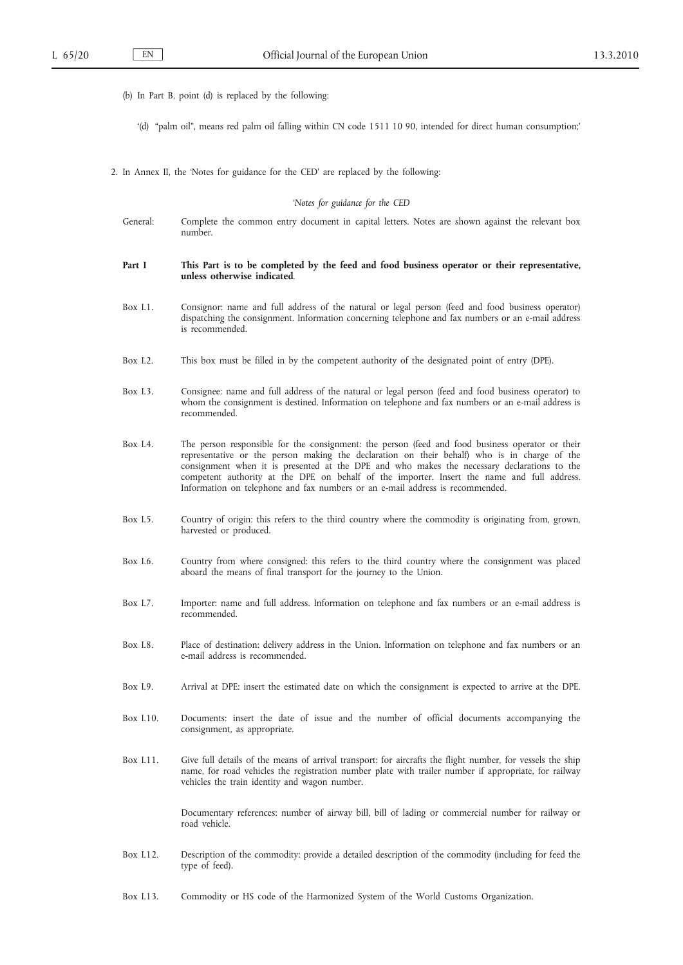(b) In Part B, point (d) is replaced by the following:

'(d) "palm oil", means red palm oil falling within CN code 1511 10 90, intended for direct human consumption;'

2. In Annex II, the 'Notes for guidance for the CED' are replaced by the following:

### '*Notes for guidance for the CED*

General: Complete the common entry document in capital letters. Notes are shown against the relevant box number.

### **Part I This Part is to be completed by the feed and food business operator or their representative, unless otherwise indicated**.

- Box I.1. Consignor: name and full address of the natural or legal person (feed and food business operator) dispatching the consignment. Information concerning telephone and fax numbers or an e-mail address is recommended.
- Box I.2. This box must be filled in by the competent authority of the designated point of entry (DPE).
- Box I.3. Consignee: name and full address of the natural or legal person (feed and food business operator) to whom the consignment is destined. Information on telephone and fax numbers or an e-mail address is recommended.
- Box I.4. The person responsible for the consignment: the person (feed and food business operator or their representative or the person making the declaration on their behalf) who is in charge of the consignment when it is presented at the DPE and who makes the necessary declarations to the competent authority at the DPE on behalf of the importer. Insert the name and full address. Information on telephone and fax numbers or an e-mail address is recommended.
- Box I.5. Country of origin: this refers to the third country where the commodity is originating from, grown, harvested or produced.
- Box I.6. Country from where consigned: this refers to the third country where the consignment was placed aboard the means of final transport for the journey to the Union.
- Box I.7. Importer: name and full address. Information on telephone and fax numbers or an e-mail address is recommended.
- Box I.8. Place of destination: delivery address in the Union. Information on telephone and fax numbers or an e-mail address is recommended.
- Box I.9. Arrival at DPE: insert the estimated date on which the consignment is expected to arrive at the DPE.
- Box I.10. Documents: insert the date of issue and the number of official documents accompanying the consignment, as appropriate.
- Box I.11. Give full details of the means of arrival transport: for aircrafts the flight number, for vessels the ship name, for road vehicles the registration number plate with trailer number if appropriate, for railway vehicles the train identity and wagon number.

Documentary references: number of airway bill, bill of lading or commercial number for railway or road vehicle.

- Box I.12. Description of the commodity: provide a detailed description of the commodity (including for feed the type of feed).
- Box I.13. Commodity or HS code of the Harmonized System of the World Customs Organization.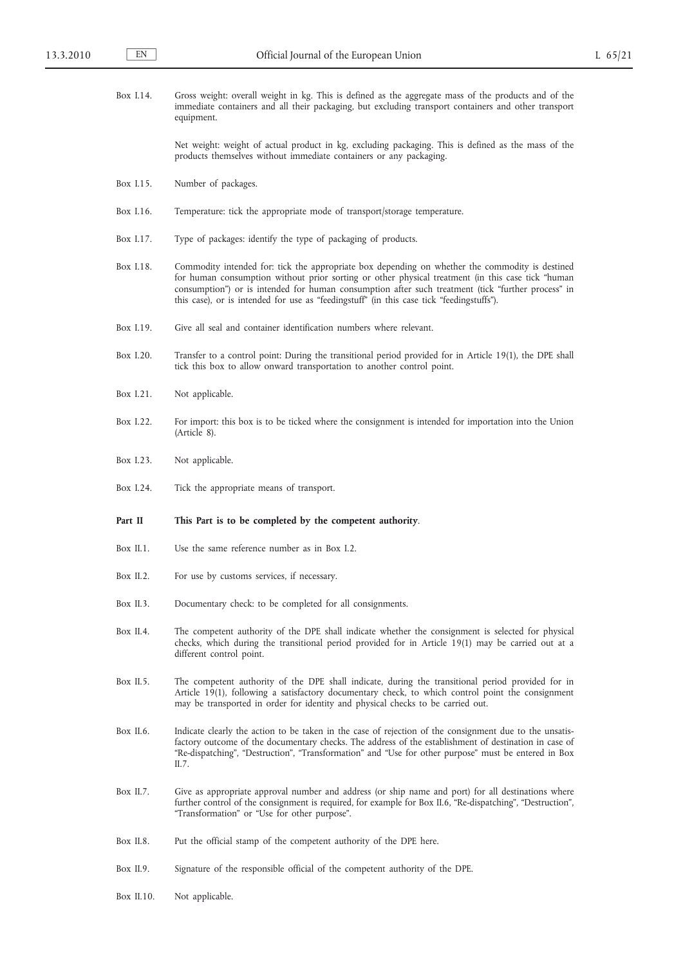| Box I.14.    | Gross weight: overall weight in kg. This is defined as the aggregate mass of the products and of the<br>immediate containers and all their packaging, but excluding transport containers and other transport<br>equipment.                                                                                                                                                                              |
|--------------|---------------------------------------------------------------------------------------------------------------------------------------------------------------------------------------------------------------------------------------------------------------------------------------------------------------------------------------------------------------------------------------------------------|
|              | Net weight: weight of actual product in kg, excluding packaging. This is defined as the mass of the<br>products themselves without immediate containers or any packaging.                                                                                                                                                                                                                               |
| Box 1.15.    | Number of packages.                                                                                                                                                                                                                                                                                                                                                                                     |
| Box 1.16.    | Temperature: tick the appropriate mode of transport/storage temperature.                                                                                                                                                                                                                                                                                                                                |
| Box 1.17.    | Type of packages: identify the type of packaging of products.                                                                                                                                                                                                                                                                                                                                           |
| Box 1.18.    | Commodity intended for: tick the appropriate box depending on whether the commodity is destined<br>for human consumption without prior sorting or other physical treatment (in this case tick "human<br>consumption") or is intended for human consumption after such treatment (tick "further process" in<br>this case), or is intended for use as "feedingstuff" (in this case tick "feedingstuffs"). |
| Box 1.19.    | Give all seal and container identification numbers where relevant.                                                                                                                                                                                                                                                                                                                                      |
| Box 1.20.    | Transfer to a control point: During the transitional period provided for in Article 19(1), the DPE shall<br>tick this box to allow onward transportation to another control point.                                                                                                                                                                                                                      |
| Box I.21.    | Not applicable.                                                                                                                                                                                                                                                                                                                                                                                         |
| Box I.22.    | For import: this box is to be ticked where the consignment is intended for importation into the Union<br>(Article 8).                                                                                                                                                                                                                                                                                   |
| Box I.23.    | Not applicable.                                                                                                                                                                                                                                                                                                                                                                                         |
| Box I.24.    | Tick the appropriate means of transport.                                                                                                                                                                                                                                                                                                                                                                |
|              |                                                                                                                                                                                                                                                                                                                                                                                                         |
| Part II      | This Part is to be completed by the competent authority.                                                                                                                                                                                                                                                                                                                                                |
| Box II.1.    | Use the same reference number as in Box I.2.                                                                                                                                                                                                                                                                                                                                                            |
| Box $II.2$ . | For use by customs services, if necessary.                                                                                                                                                                                                                                                                                                                                                              |
| Box II.3.    | Documentary check: to be completed for all consignments.                                                                                                                                                                                                                                                                                                                                                |
| Box II.4.    | The competent authority of the DPE shall indicate whether the consignment is selected for physical<br>checks, which during the transitional period provided for in Article 19(1) may be carried out at a<br>different control point.                                                                                                                                                                    |
| Box II.5.    | The competent authority of the DPE shall indicate, during the transitional period provided for in<br>Article 19(1), following a satisfactory documentary check, to which control point the consignment<br>may be transported in order for identity and physical checks to be carried out.                                                                                                               |
| Box II.6.    | Indicate clearly the action to be taken in the case of rejection of the consignment due to the unsatis-<br>factory outcome of the documentary checks. The address of the establishment of destination in case of<br>"Re-dispatching", "Destruction", "Transformation" and "Use for other purpose" must be entered in Box<br>II.7.                                                                       |
| Box II.7.    | Give as appropriate approval number and address (or ship name and port) for all destinations where<br>further control of the consignment is required, for example for Box II.6, "Re-dispatching", "Destruction",<br>"Transformation" or "Use for other purpose".                                                                                                                                        |
| Box II.8.    | Put the official stamp of the competent authority of the DPE here.                                                                                                                                                                                                                                                                                                                                      |
| Box II.9.    | Signature of the responsible official of the competent authority of the DPE.                                                                                                                                                                                                                                                                                                                            |